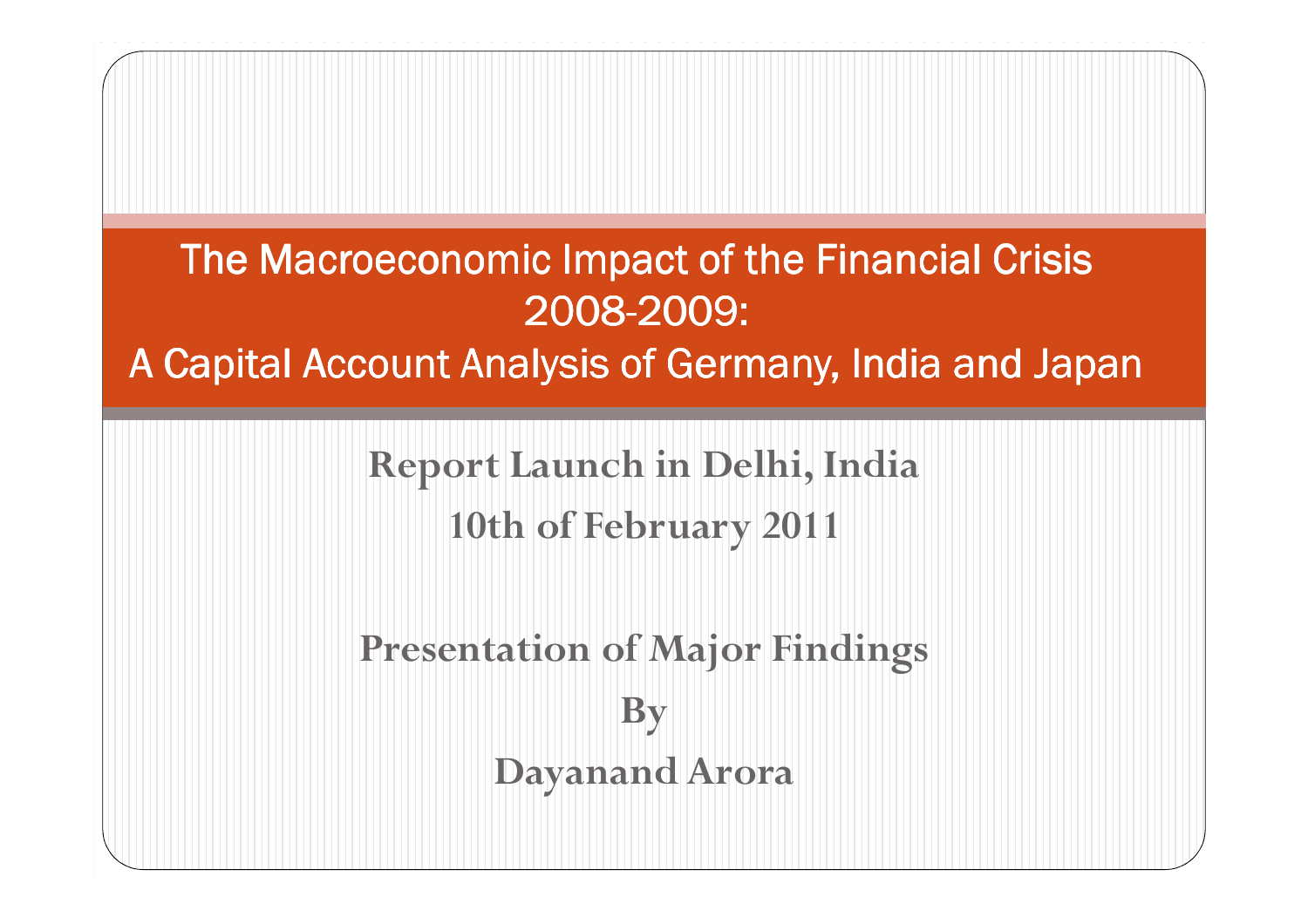The Macroeconomic Impact of the Financial Crisis 2008-2009:

A Capital Account Analysis of Germany, India and Japan

Report Launch in Delhi, India

10th of February 2011

Presentation of Major FindingsBy Dayanand Arora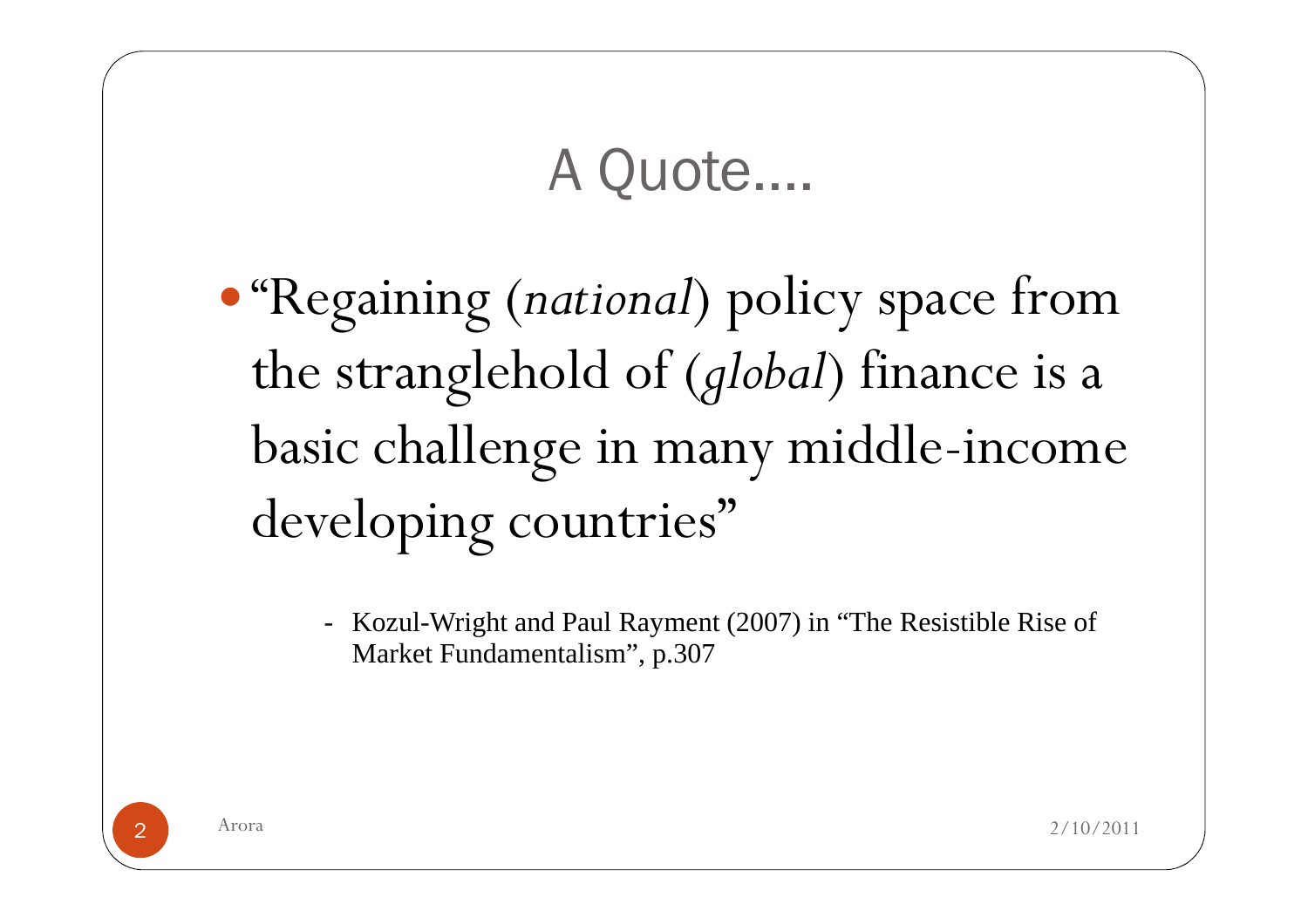## A Quote....

- $\bullet$  "Regaining (national) policy space from the stranglehold of (global) finance is a basic challenge in many middle-income developing countries"
	- Kozul-Wright and Paul Rayment (2007) in "The Resistible Rise of Market Fundamentalism", p.307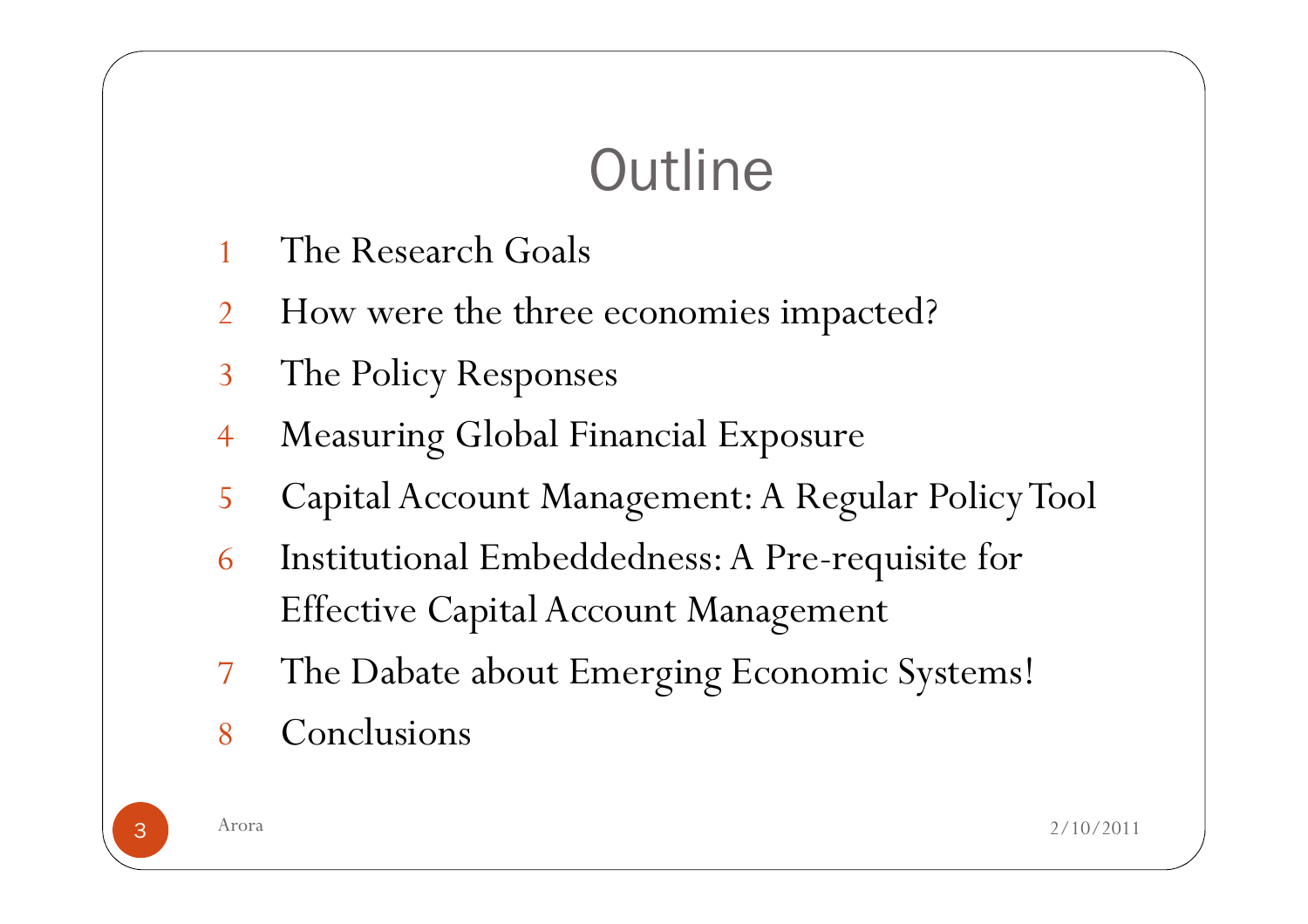# **Outline**

- 1The Research Goals
- $\mathcal{P}$ How were the three economies impacted?
- 3The Policy Responses
- 4Measuring Global Financial Exposure
- 5Capital Account Management: A Regular PolicyTool
- 6 Institutional Embeddedness: A Pre-requisite for Effective Capital Account Management
- 7The Dabate about Emerging Economic Systems!
- 8Conclusions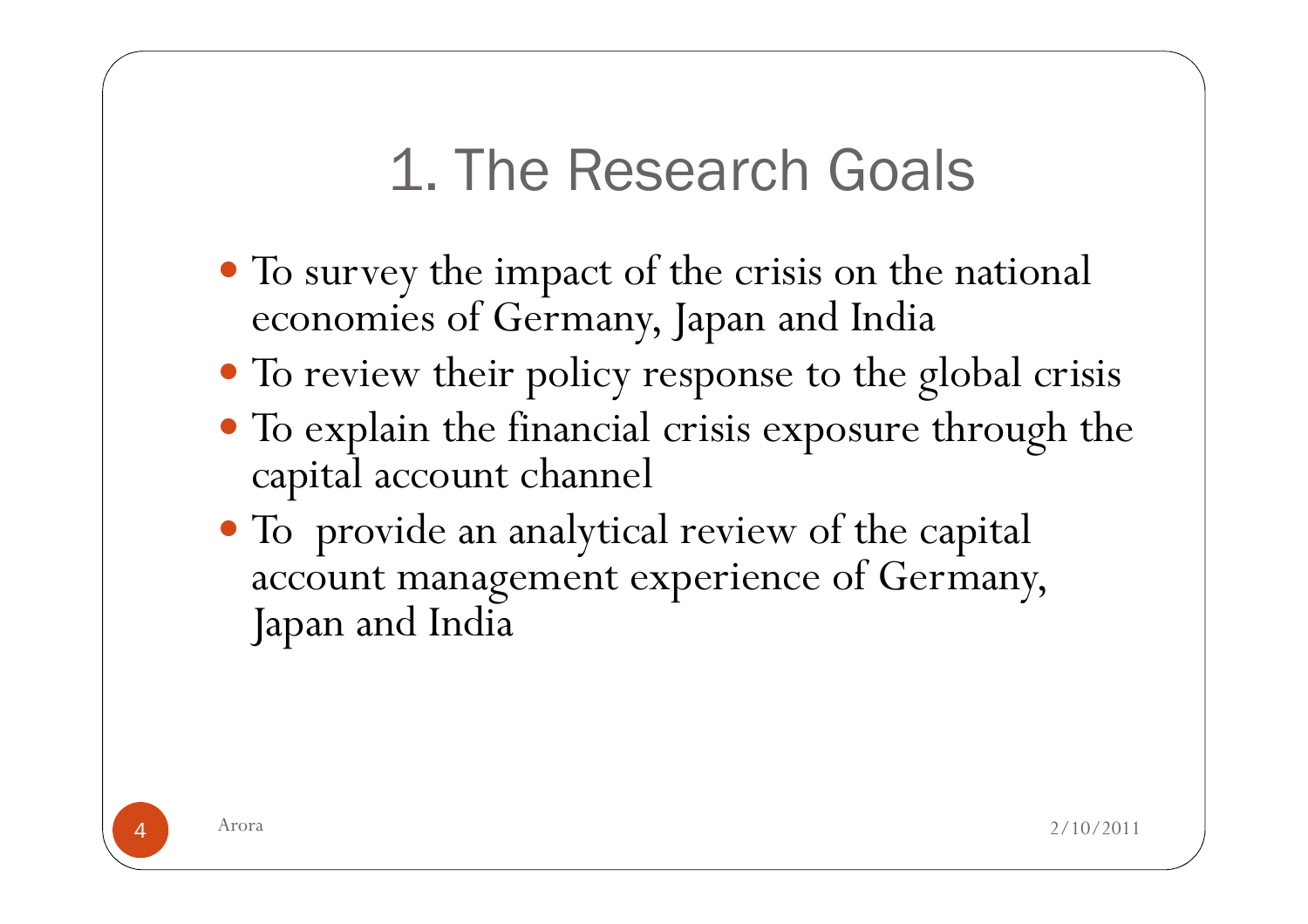# 1. The Research Goals

- To survey the impact of the crisis on the national economies of Germany, Japan and India
- To review their policy response to the global crisis
- To explain the financial crisis exposure through the capital account channel
- To provide an analytical review of the capital account management experience of Germany, Japan and India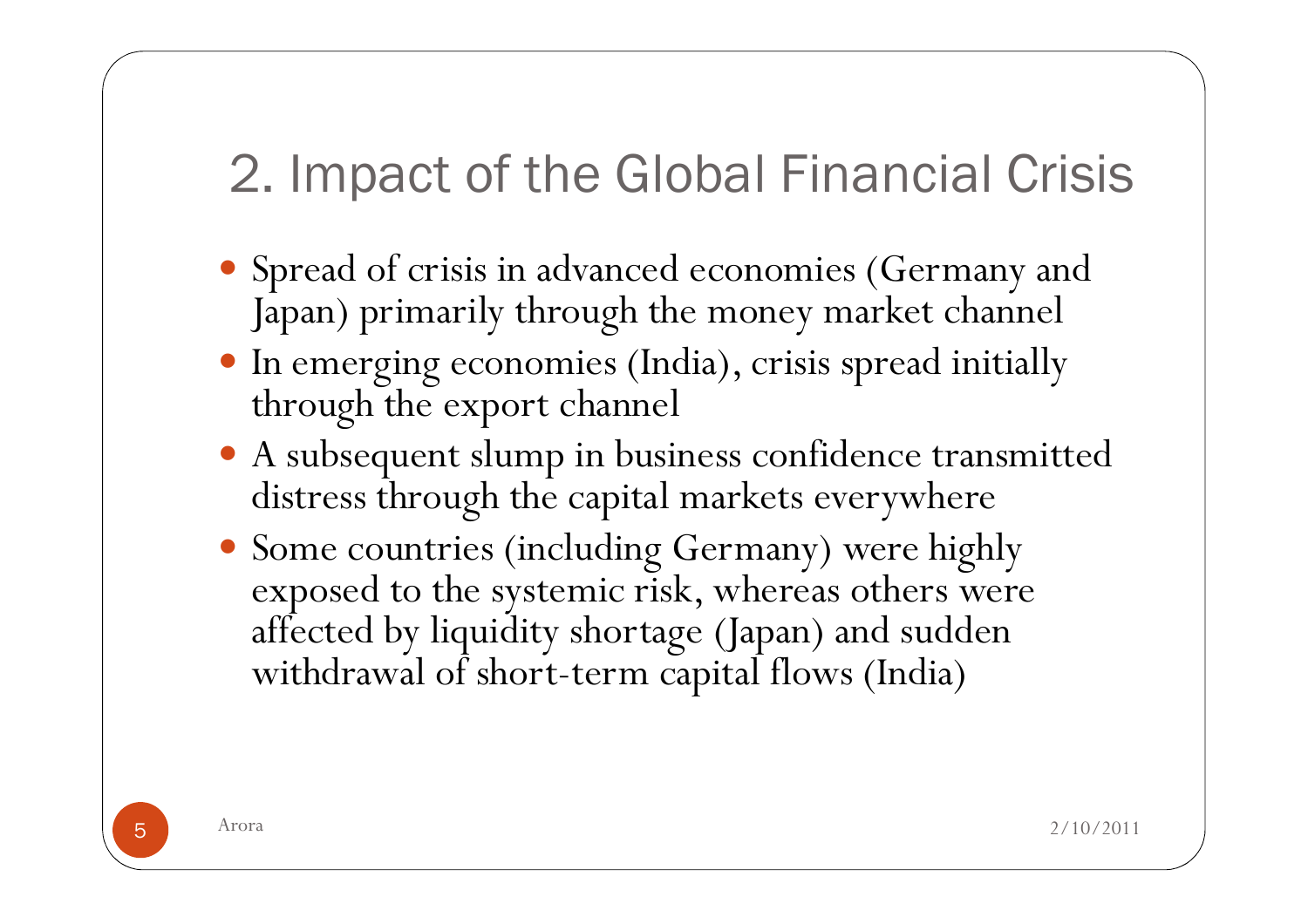## 2. Impact of the Global Financial Crisis

- Spread of crisis in advanced economies (Germany and Japan) primarily through the money market channel
- In emerging economies (India), crisis spread initially through the export channel
- A subsequent slump in business confidence transmitted distress through the capital markets everywhere
- Some countries (including Germany) were highly exposed to the systemic risk, whereas others were affected by liquidity shortage (Japan) and sudden withdrawal of short-term capital flows (India)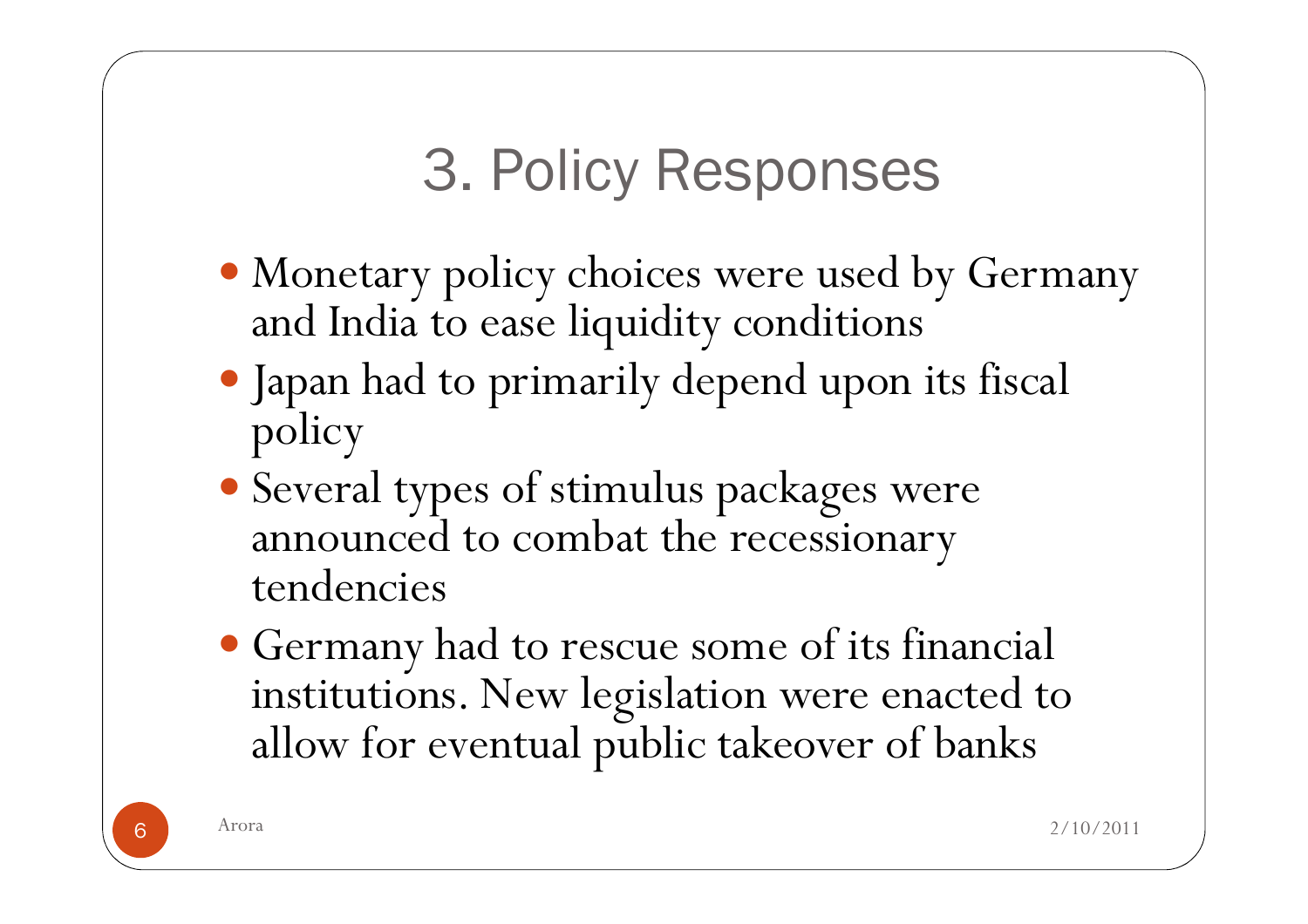# 3. Policy Responses

- Monetary policy choices were used by Germany and India to ease liquidity conditions
- Japan had to primarily depend upon its fiscal policy
- Several types of stimulus packages were announced to combat the recessionary tendencies
- Germany had to rescue some of its financial institutions. New legislation were enacted to allow for eventual public takeover of banks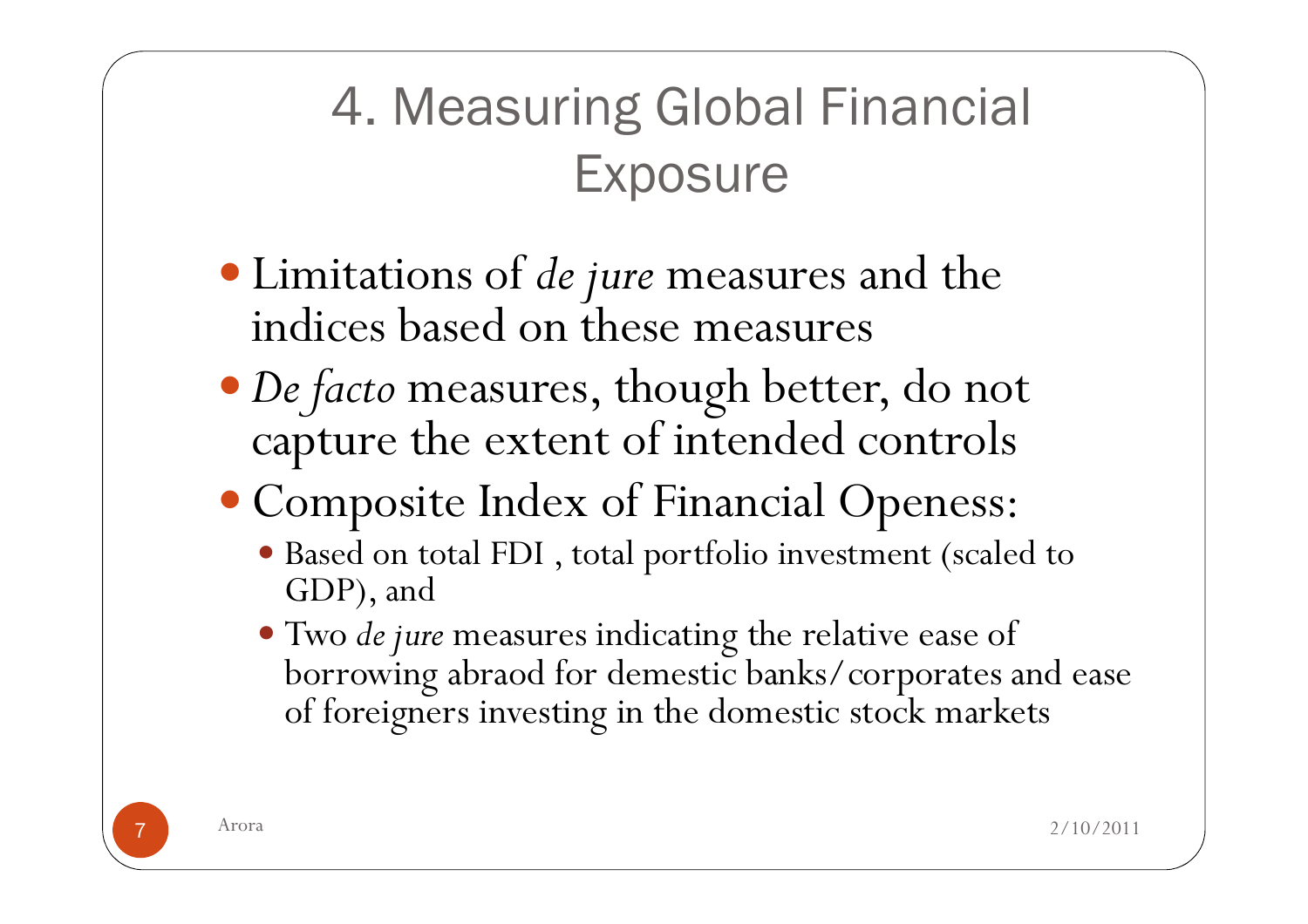## 4. Measuring Global Financial **Exposure**

- Limitations of *de jure* measures and the indices based on these measures
- De facto measures, though better, do not capture the extent of intended controls
- Composite Index of Financial Openess:
	- Based on total FDI, total portfolio investment (scaled to GDP), and GDP), and
	- Two de jure measures indicating the relative ease of borrowing abraod for demestic banks/corporates a borrowing abraod for demestic banks/corporates and ease of foreigners investing in the domestic stock markets

7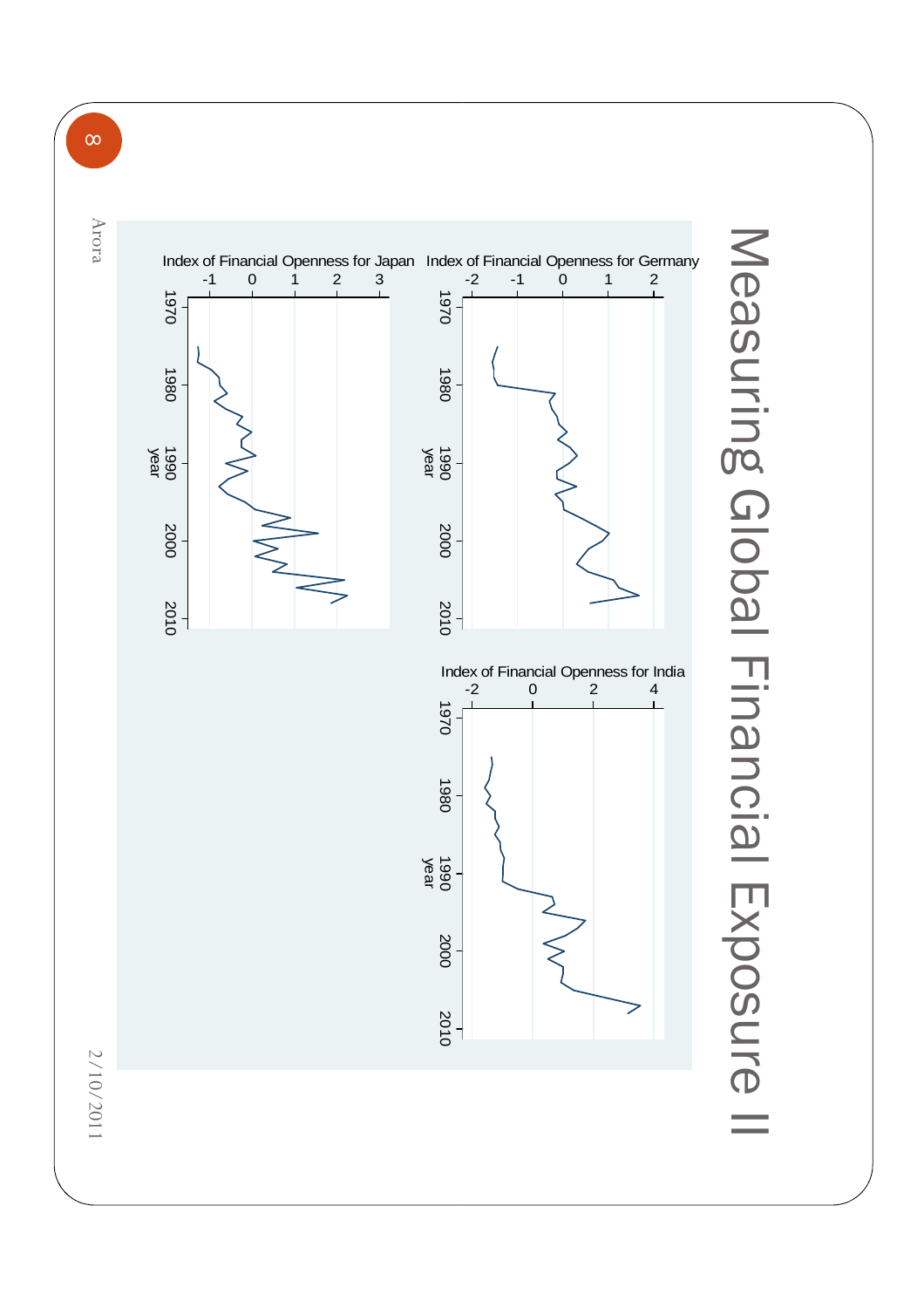

 $\infty$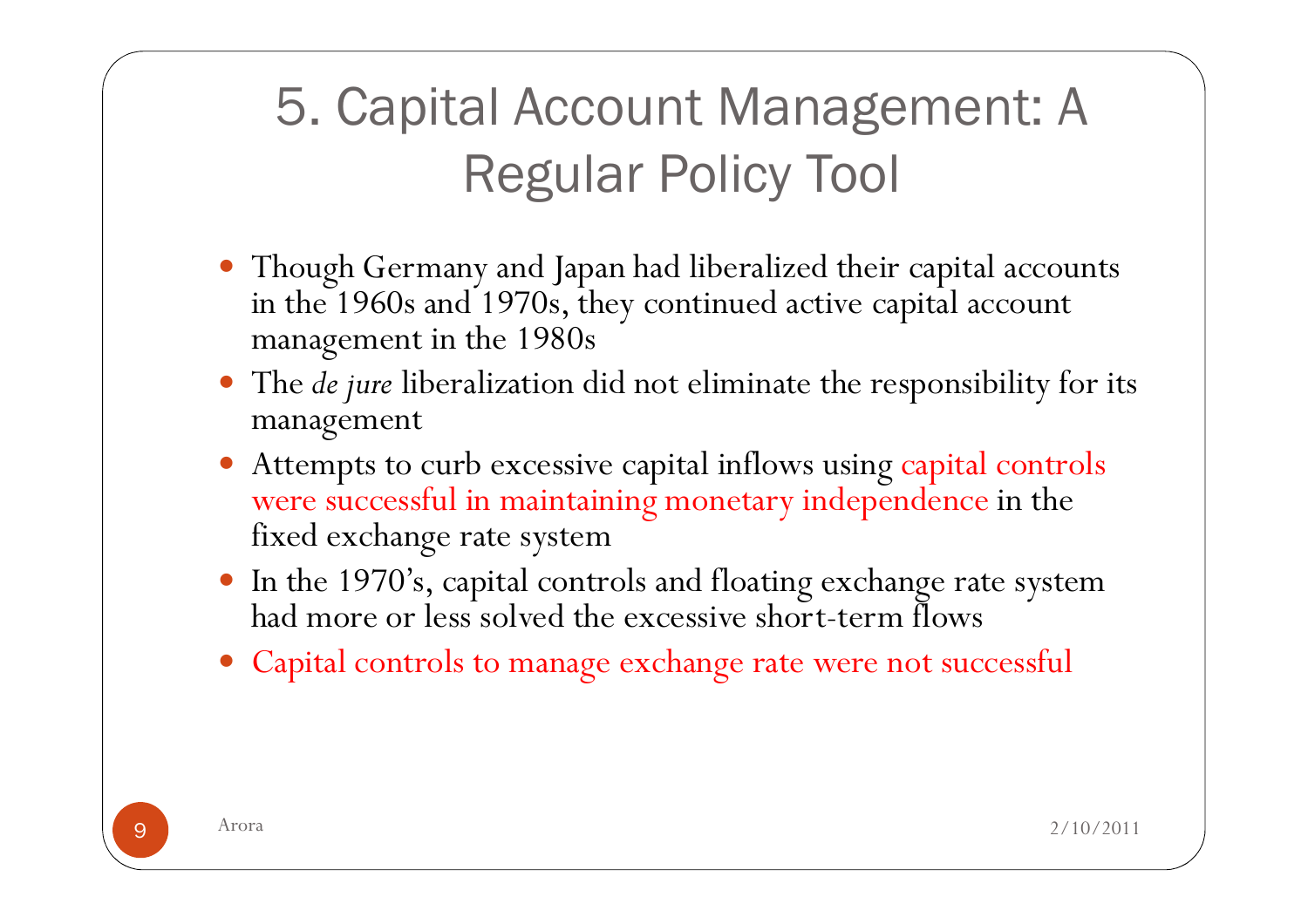## 5. Capital Account Management: A Regular Policy Tool

- Though Germany and Japan had liberalized their capital accounts in the 1960s and 1970s, they continued active capital account management in the 1980s
- $\bullet$ The *de jure* liberalization did not eliminate the responsibility for its managemen<sup>t</sup>
- Attempts to curb excessive capital inflows using capital controls were successful in maintaining monetary independence in the fixed exchange rate system
- In the 1970's, capital controls and floating exchange rate system had more or less solved the excessive short-term flows
- Capital controls to manage exchange rate were not successful

9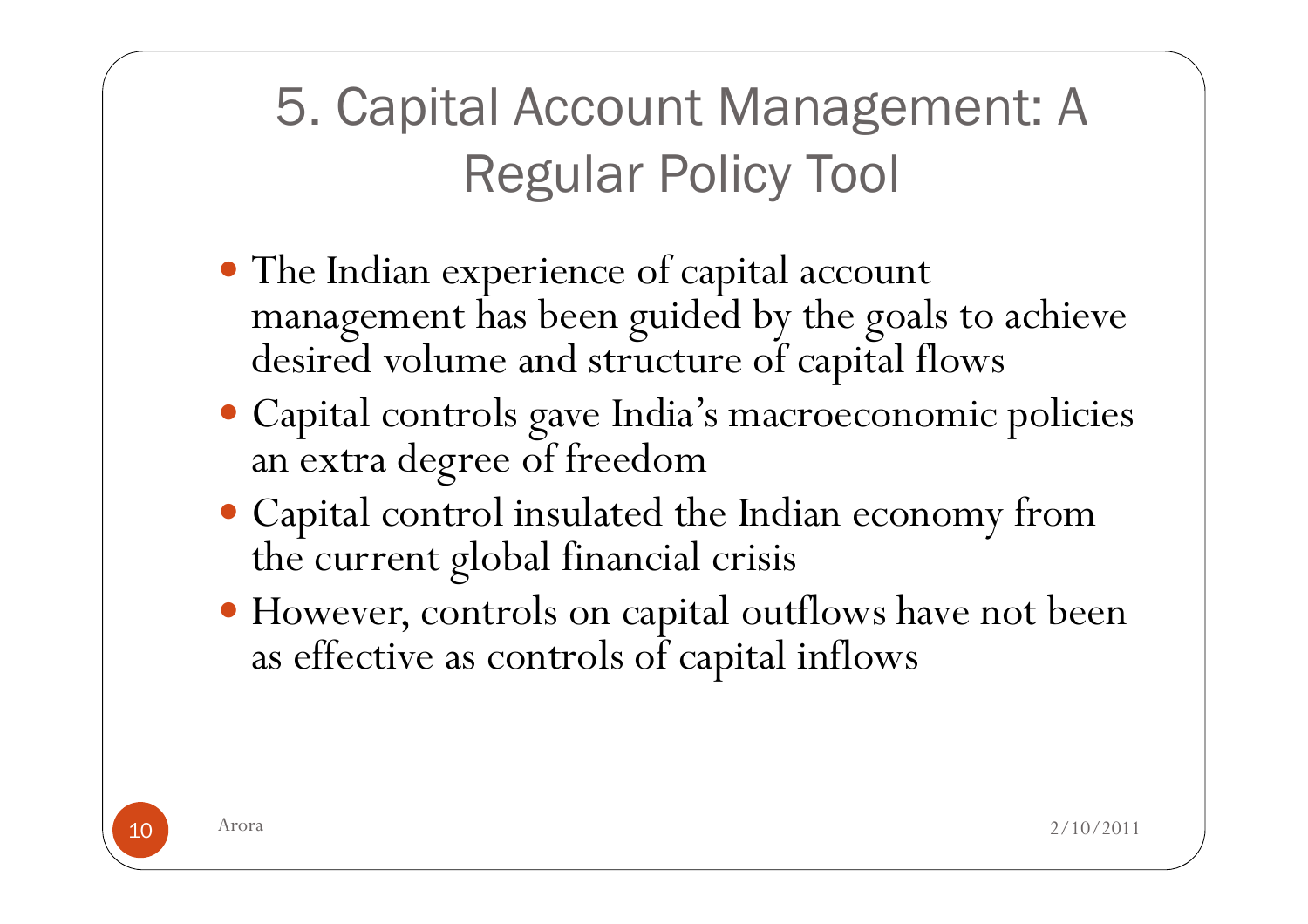5. Capital Account Management: A Regular Policy Tool

- The Indian experience of capital account management has been guided by the goals to achieve desired volume and structure of capital flows
- Capital controls gave India's macroeconomic policies an extra degree of freedom
- Capital control insulated the Indian economy from the current global financial crisis
- However, controls on capital outflows have not been as effective as controls of capital inflows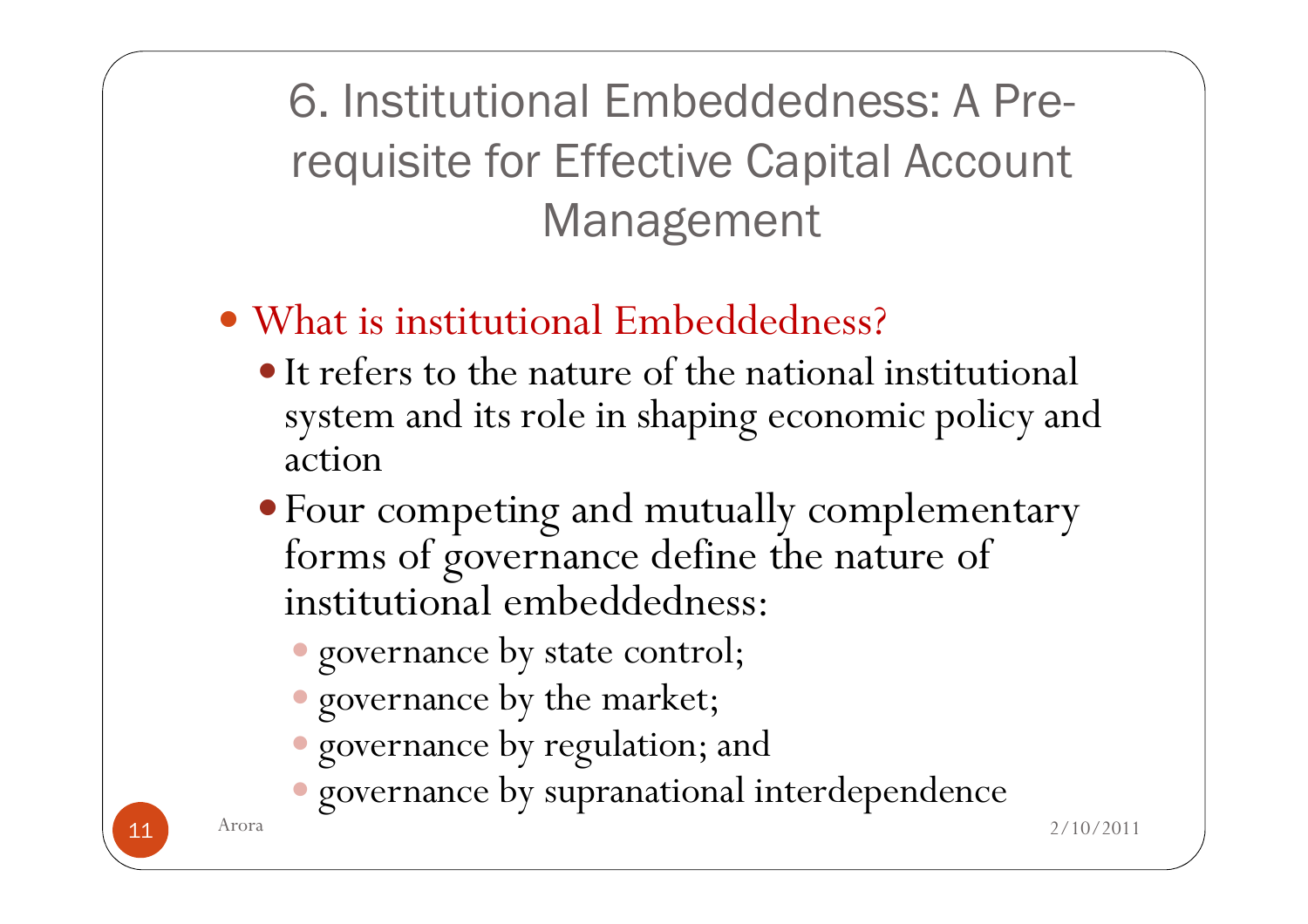6. Institutional Embeddedness: A Prerequisite for Effective Capital Account Management

- What is institutional Embeddedness?
	- It refers to the nature of the national institutional system and its role in shaping economic policy and action
	- Four competing and mutually complementary forms of governance define the nature of institutional embeddedness:
		- governance by state control;
		- governance by the market;
		- governance by regulation; and
		- governance by supranational interdependence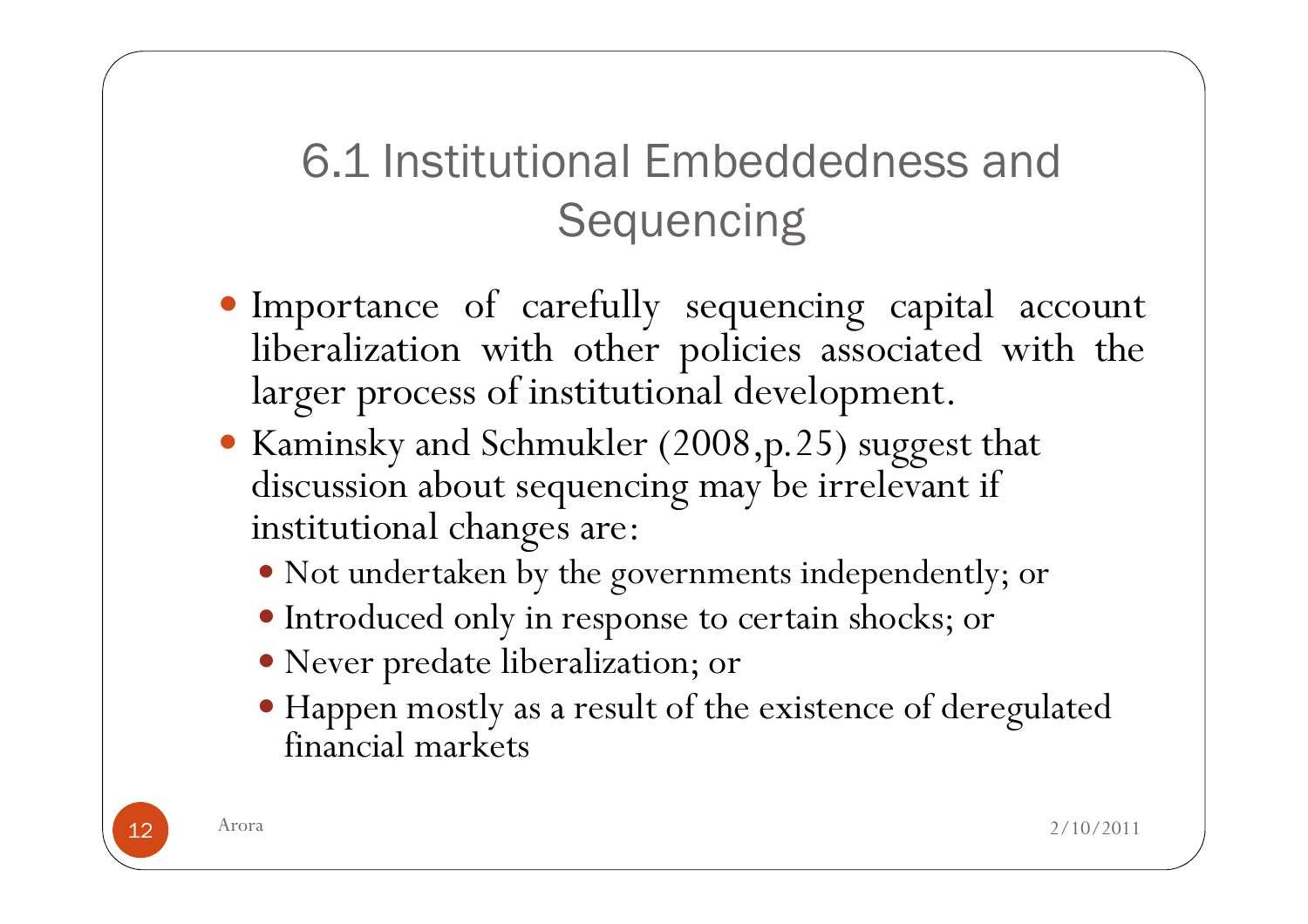#### 6.1 Institutional Embeddedness and **Sequencing**

- Importance of carefully sequencing capital account liberalization with other policies associated with the liberalization with other policies associated with the larger process of institutional development.
- Kaminsky and Schmukler (2008,p.25) suggest that discussion about sequencing may be irrelevant if institutional changes are:
	- Not undertaken by the governments independently; or
	- Introduced only in response to certain shocks; or
	- Never predate liberalization; or
	- Happen mostly as a result of the existence of deregulated financial markets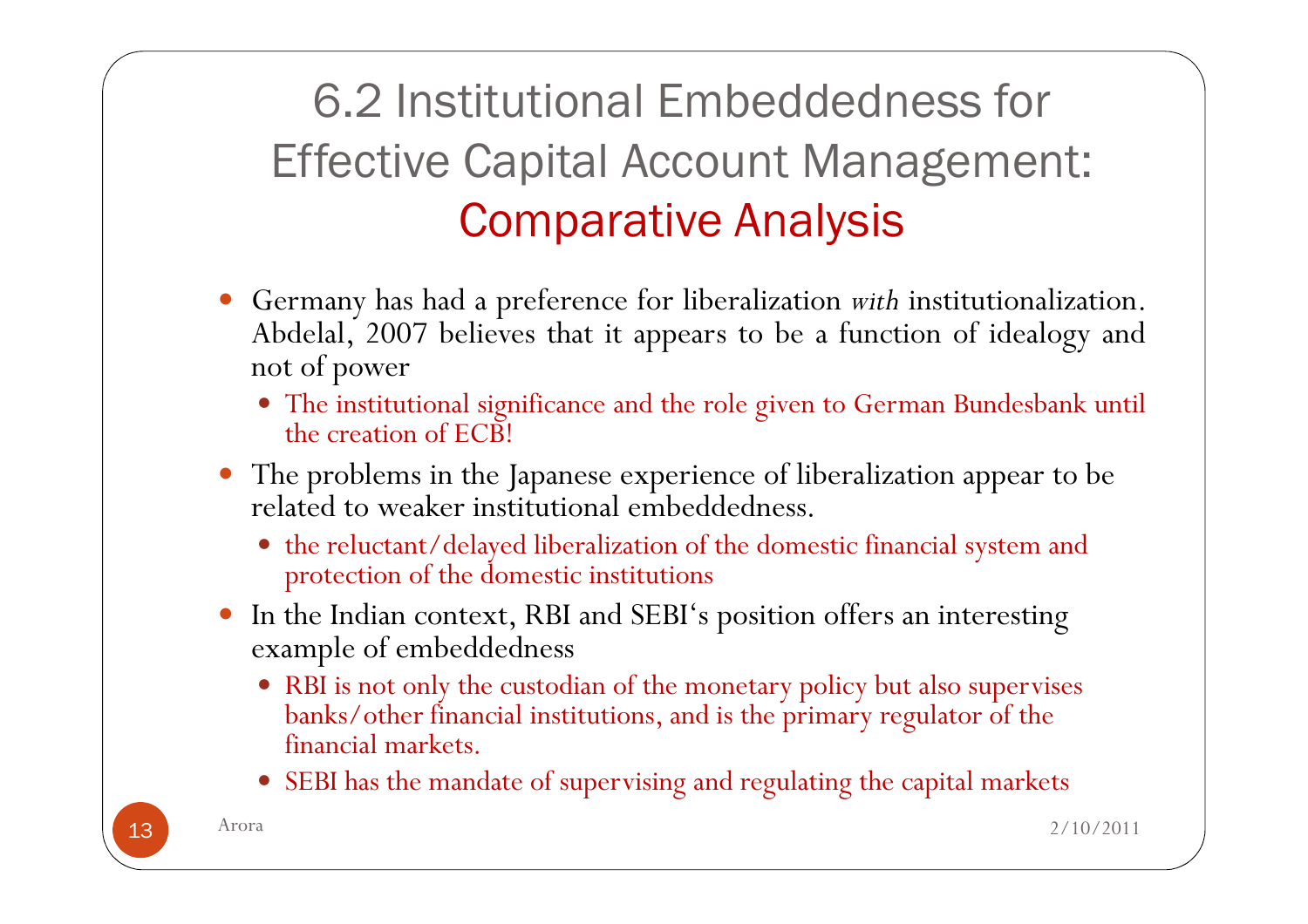### 6.2 Institutional Embeddedness for Effective Capital Account Management: Comparative Analysis

- 0 Germany has had a preference for liberalization *with* institutionalization. Abdelal, <sup>2007</sup> believes that it appears to be <sup>a</sup> function of idealogy and not of power
	- The institutional significance and the role <sup>g</sup>iven to German Bundesbank until the creation of ECB!
- The problems in the Japanese experience of liberalization appear to be related to weaker institutional embeddedness.
	- the reluctant/delayed liberalization of the domestic financial system and protection of the domestic institutions
- 0 In the Indian context, RBI and SEBI's position offers an interesting example of embeddedness
	- RBI is not only the custodian of the monetary policy but also supervises banks/other financial institutions, and is the primary regulator of the financial markets.
	- SEBI has the mandate of supervising and regulating the capital markets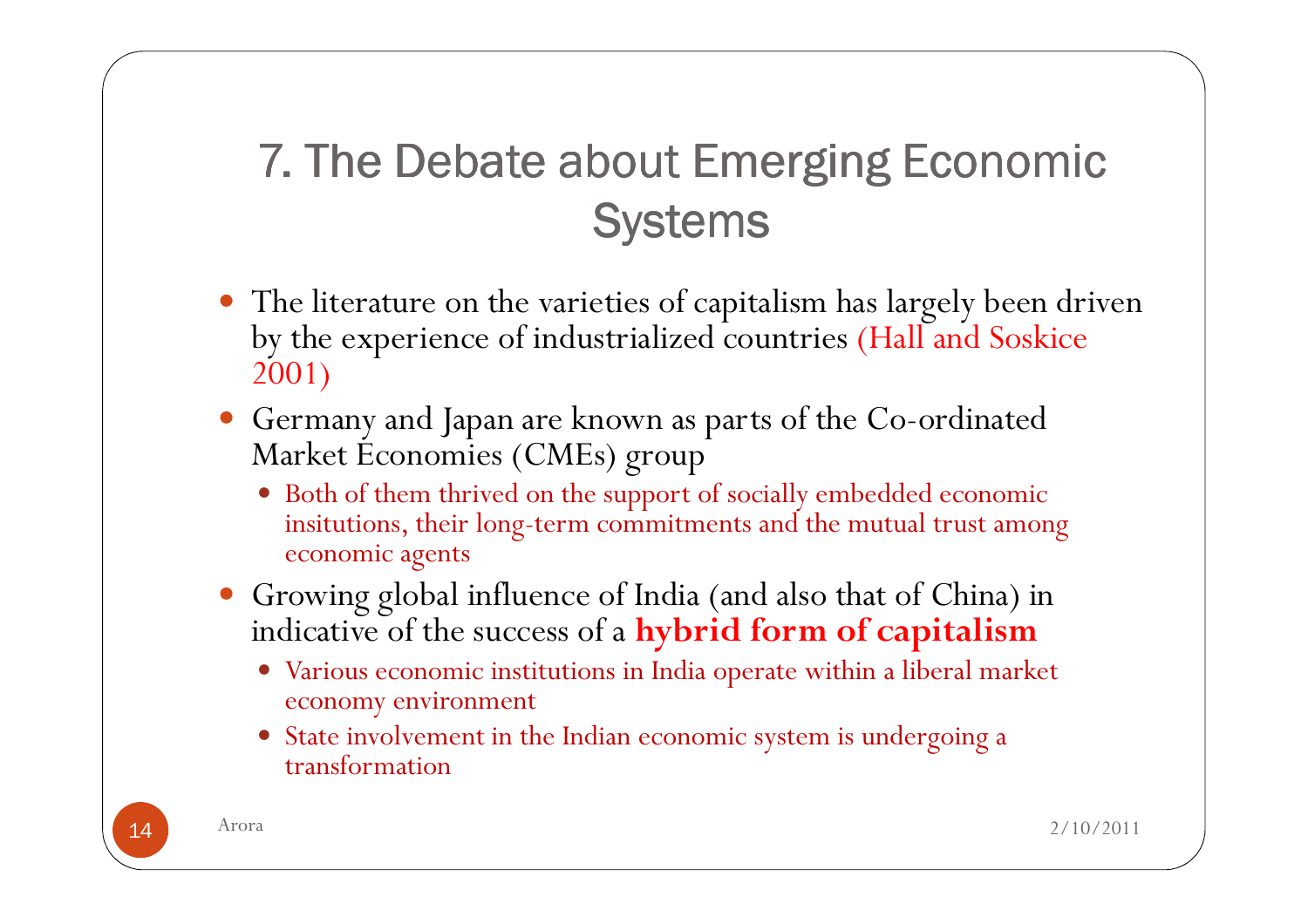#### 7. The Debate about Emerging Economic<br>Systems Systems

- The literature on the varieties of capitalism has largely been driven by the experience of industrialized countries (Hall and Soskice 2001)
- Germany and Japan are known as parts of the Co-ordinated Market Economies (CMEs) group
	- Both of them thrived on the support of socially embedded economic insitutions, their long-term commitments and the mutual trust among economic agents
- Growing global influence of India (and also that of China) in indicative of the success of a hybrid form of capitalism
	- Various economic institutions in India operate within a liberal market economy environment
	- State involvement in the Indian economic system is undergoing a transformation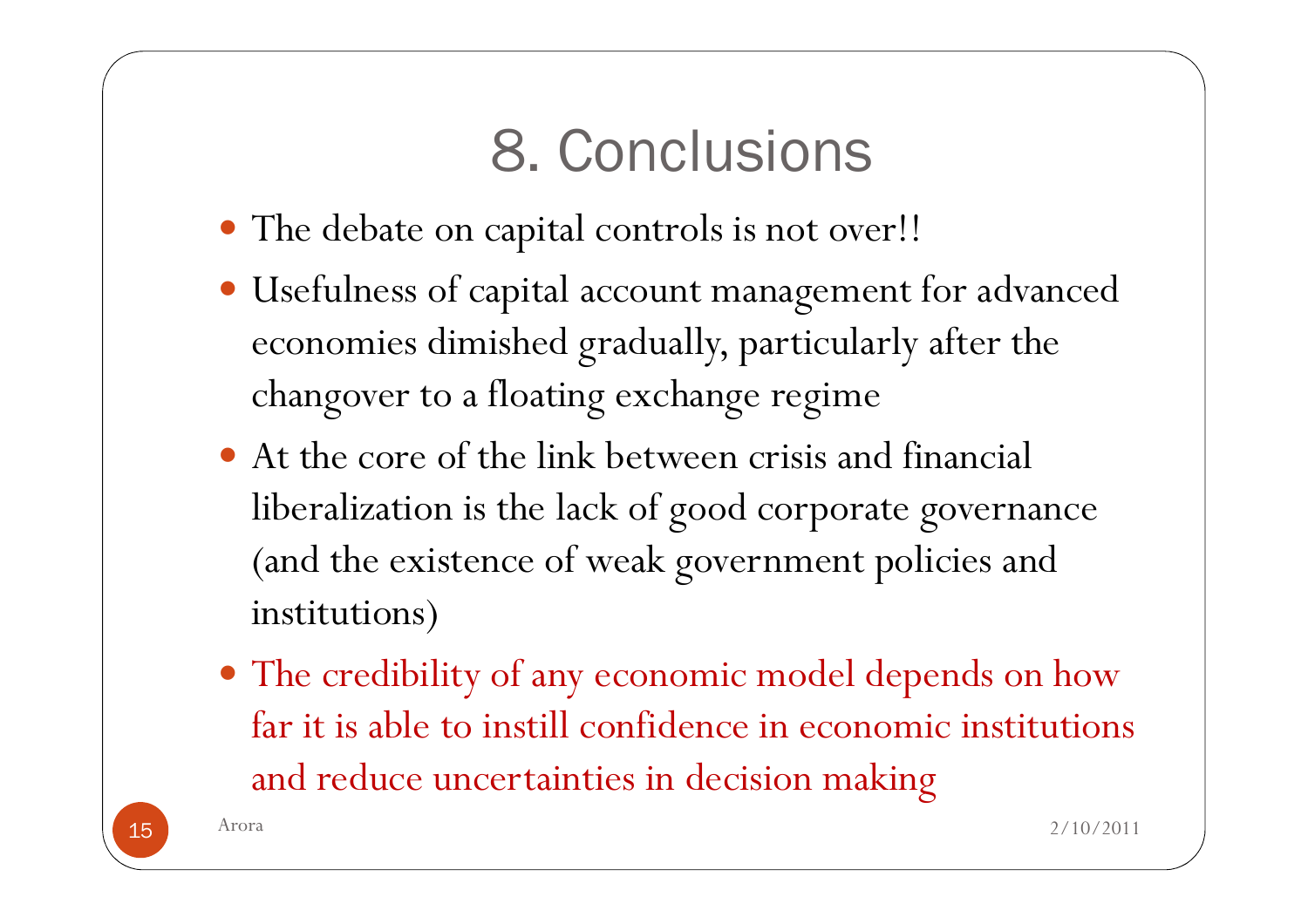# 8. Conclusions

- The debate on capital controls is not over!!
- Usefulness of capital account management for advanced economies dimished gradually, particularly after the changover to a floating exchange regime
- At the core of the link between crisis and financial liberalization is the lack of good corporate governance (and the existence of weak government policies and institutions)
- The credibility of any economic model depends on how far it is able to instill confidence in economic institutions and reduce uncertainties in decision making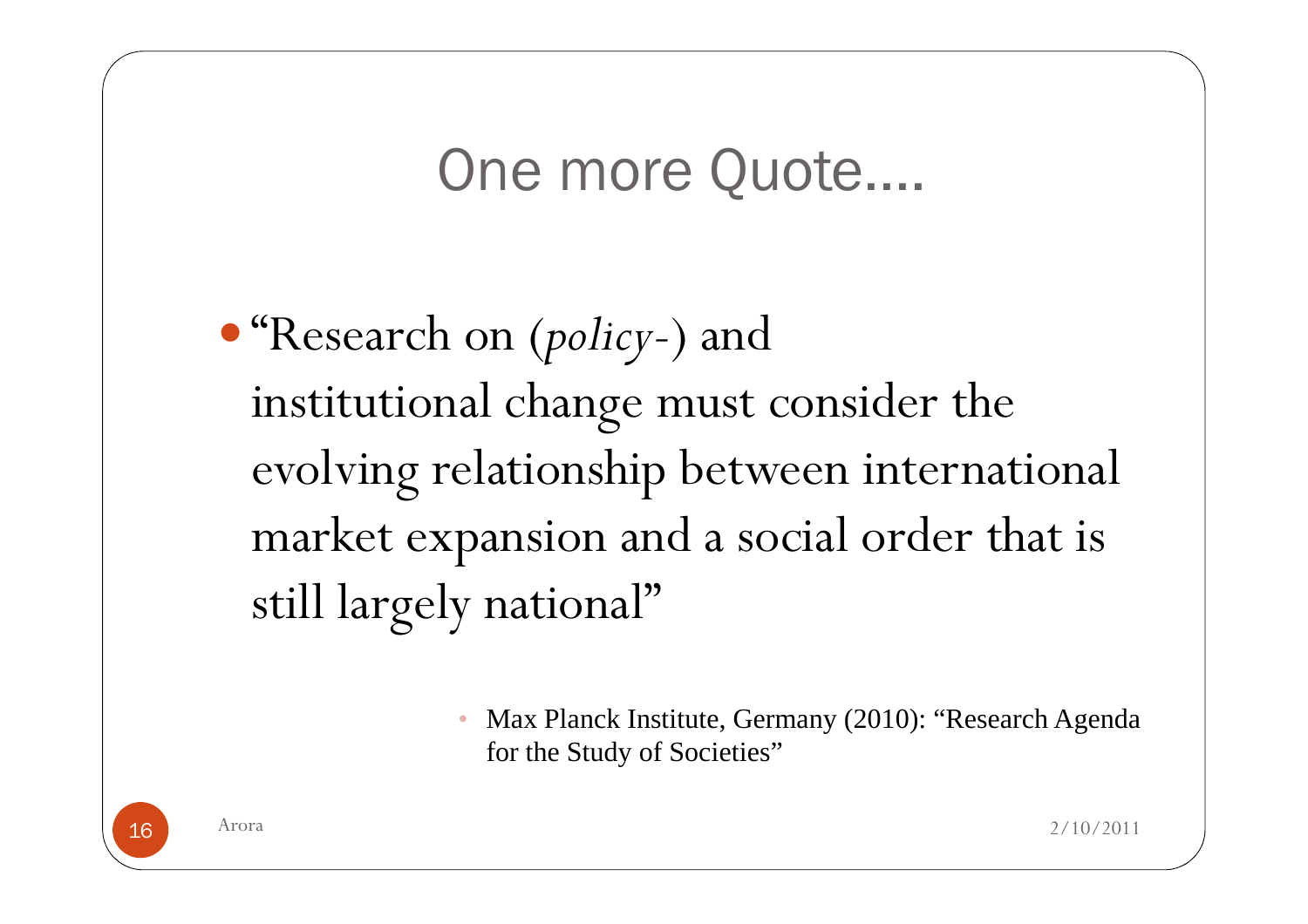## One more Quote....

 "Research on (policy-) and institutional change must consider the evolving relationship between international market expansion and a social order that is still largely national"

> $\bullet$  Max Planck Institute, Germany (2010): "Research Agenda for the Study of Societies"